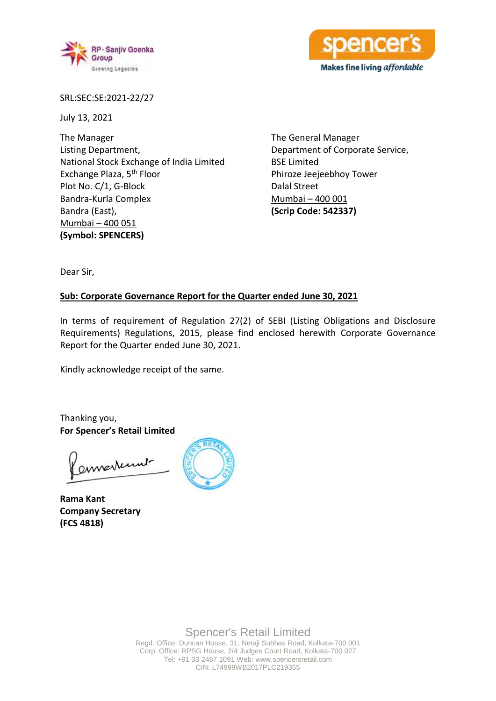



SRL:SEC:SE:2021-22/27

July 13, 2021

The Manager Listing Department, National Stock Exchange of India Limited Exchange Plaza, 5th Floor Plot No. C/1, G-Block Bandra-Kurla Complex Bandra (East), Mumbai – 400 051 **(Symbol: SPENCERS)**

The General Manager Department of Corporate Service, BSE Limited Phiroze Jeejeebhoy Tower Dalal Street Mumbai – 400 001 **(Scrip Code: 542337)**

Dear Sir,

## **Sub: Corporate Governance Report for the Quarter ended June 30, 2021**

In terms of requirement of Regulation 27(2) of SEBI (Listing Obligations and Disclosure Requirements) Regulations, 2015, please find enclosed herewith Corporate Governance Report for the Quarter ended June 30, 2021.

Kindly acknowledge receipt of the same.

Thanking you, **For Spencer's Retail Limited**

enverturent

**Rama Kant Company Secretary (FCS 4818)**

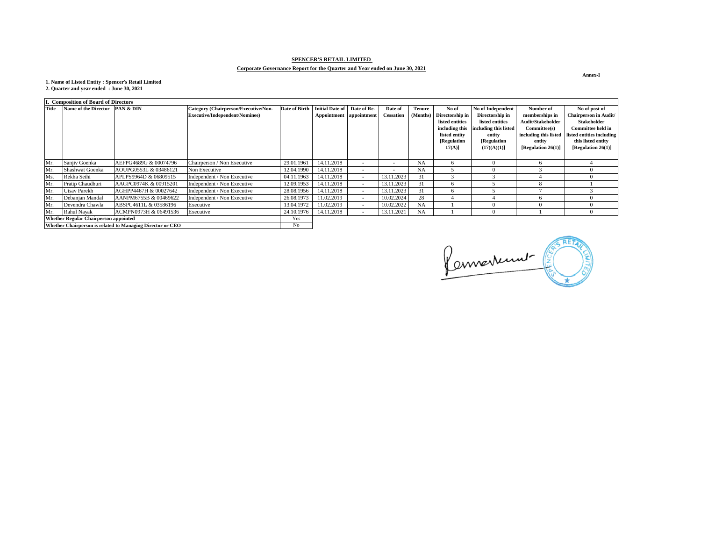**Annex-I**



| I. Composition of Board of Directors                       |                                 |                       |                                       |               |                               |                          |                          |               |                 |                       |                       |                              |
|------------------------------------------------------------|---------------------------------|-----------------------|---------------------------------------|---------------|-------------------------------|--------------------------|--------------------------|---------------|-----------------|-----------------------|-----------------------|------------------------------|
| <b>Title</b>                                               | Name of the Director  PAN & DIN |                       | Category (Chairperson/Executive/Non-  | Date of Birth | Initial Date of   Date of Re- |                          | Date of                  | <b>Tenure</b> | No of           | No of Independent     | Number of             | No of post of                |
|                                                            |                                 |                       | <b>Executive/Independent/Nominee)</b> |               | Appointment   appointment     |                          | <b>Cessation</b>         | (Months)      | Directorship in | Directorship in       | memberships in        | <b>Chairperson in Audit/</b> |
|                                                            |                                 |                       |                                       |               |                               |                          |                          |               | listed entities | listed entities       | Audit/Stakeholder     | <b>Stakeholder</b>           |
|                                                            |                                 |                       |                                       |               |                               |                          |                          |               | including this  | including this listed | Committee(s)          | <b>Committee held in</b>     |
|                                                            |                                 |                       |                                       |               |                               |                          |                          |               | listed entity   | entity                | including this listed | listed entities including    |
|                                                            |                                 |                       |                                       |               |                               |                          |                          |               | [Regulation     | [Regulation           | entity                | this listed entity           |
|                                                            |                                 |                       |                                       |               |                               |                          |                          |               | $17(A)$ ]       | $(17)(A)(1)$ ]        | [Regulation 26(1)]    | [Regulation 26(1)]           |
|                                                            |                                 |                       |                                       |               |                               |                          |                          |               |                 |                       |                       |                              |
| Mr.                                                        | Sanjiv Goenka                   | AEFPG4689G & 00074796 | Chairperson / Non Executive           | 29.01.1961    | 14.11.2018                    |                          | $\overline{\phantom{a}}$ | <b>NA</b>     |                 | $\theta$              | $\mathfrak{b}$        |                              |
| Mr.                                                        | Shashwat Goenka                 | AOUPG0553L & 03486121 | Non Executive                         | 12.04.1990    | 14.11.2018                    |                          | $\overline{\phantom{a}}$ | <b>NA</b>     |                 | $\left($              |                       |                              |
| Ms.                                                        | Rekha Sethi                     | APLPS9964D & 06809515 | Independent / Non Executive           | 04.11.1963    | 14.11.2018                    | $\overline{\phantom{a}}$ | 13.11.2023               | 31            |                 |                       |                       |                              |
| Mr.                                                        | Pratip Chaudhuri                | AAGPC0974K & 00915201 | Independent / Non Executive           | 12.09.1953    | 14.11.2018                    | $\overline{\phantom{a}}$ | 13.11.2023               | 31            |                 |                       | Ō                     |                              |
| Mr.                                                        | <b>Utsav Parekh</b>             | AGHPP4467H & 00027642 | Independent / Non Executive           | 28.08.1956    | 14.11.2018                    | $\sim$                   | 13.11.2023               | 31            |                 |                       |                       |                              |
| Mr.                                                        | Debanjan Mandal                 | AANPM6755B & 00469622 | Independent / Non Executive           | 26.08.1973    | 11.02.2019                    | $\sim$                   | 10.02.2024               | 28            |                 |                       | <sub>n</sub>          |                              |
| Mr.                                                        | Devendra Chawla                 | ABSPC4611L & 03586196 | Executive                             | 13.04.1972    | 11.02.2019                    | $\overline{\phantom{0}}$ | 10.02.2022               | <b>NA</b>     |                 | $\Omega$              |                       |                              |
| Mr.                                                        | Rahul Nayak                     | ACMPN0973H & 06491536 | Executive                             | 24.10.1976    | 14.11.2018                    |                          | 13.11.2021               | <b>NA</b>     |                 | $\Omega$              |                       |                              |
| <b>Whether Regular Chairperson appointed</b>               |                                 |                       | Yes                                   |               |                               |                          |                          |               |                 |                       |                       |                              |
| Whether Chairperson is related to Managing Director or CEO |                                 |                       | N <sub>o</sub>                        |               |                               |                          |                          |               |                 |                       |                       |                              |

# **SPENCER'S RETAIL LIMITED**

# **Corporate Governance Report for the Quarter and Year ended on June 30, 2021**

**1. Name of Listed Entity : Spencer's Retail Limited 2. Quarter and year ended : June 30, 2021**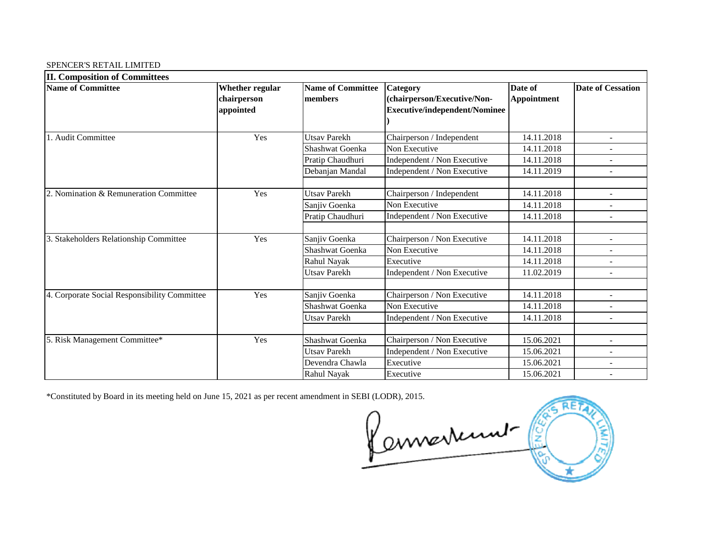# SPENCER'S RETAIL LIMITED

| <b>II. Composition of Committees</b>         |                                             |                                     |                                                                                 |                               |                          |
|----------------------------------------------|---------------------------------------------|-------------------------------------|---------------------------------------------------------------------------------|-------------------------------|--------------------------|
| <b>Name of Committee</b>                     | Whether regular<br>chairperson<br>appointed | <b>Name of Committee</b><br>members | Category<br>(chairperson/Executive/Non-<br><b>Executive/independent/Nominee</b> | Date of<br><b>Appointment</b> | <b>Date of Cessation</b> |
| Audit Committee                              | Yes                                         | <b>Utsav Parekh</b>                 | Chairperson / Independent                                                       | 14.11.2018                    | $\overline{\phantom{a}}$ |
|                                              |                                             | <b>Shashwat Goenka</b>              | Non Executive                                                                   | 14.11.2018                    |                          |
|                                              |                                             | Pratip Chaudhuri                    | Independent / Non Executive                                                     | 14.11.2018                    |                          |
|                                              |                                             | Debanjan Mandal                     | Independent / Non Executive                                                     | 14.11.2019                    | $\overline{\phantom{a}}$ |
| 2. Nomination & Remuneration Committee       | Yes                                         | <b>Utsav Parekh</b>                 | Chairperson / Independent                                                       | 14.11.2018                    |                          |
|                                              |                                             | Sanjiv Goenka                       | Non Executive                                                                   | 14.11.2018                    |                          |
|                                              |                                             | Pratip Chaudhuri                    | Independent / Non Executive                                                     | 14.11.2018                    | $\blacksquare$           |
| 3. Stakeholders Relationship Committee       | Yes                                         | Sanjiv Goenka                       | Chairperson / Non Executive                                                     | 14.11.2018                    |                          |
|                                              |                                             | <b>Shashwat Goenka</b>              | Non Executive                                                                   | 14.11.2018                    |                          |
|                                              |                                             | Rahul Nayak                         | Executive                                                                       | 14.11.2018                    | $\overline{\phantom{a}}$ |
|                                              |                                             | <b>Utsav Parekh</b>                 | Independent / Non Executive                                                     | 11.02.2019                    |                          |
| 4. Corporate Social Responsibility Committee | Yes                                         | Sanjiv Goenka                       | Chairperson / Non Executive                                                     | 14.11.2018                    |                          |
|                                              |                                             | Shashwat Goenka                     | Non Executive                                                                   | 14.11.2018                    | $\overline{\phantom{a}}$ |
|                                              |                                             | <b>Utsav Parekh</b>                 | Independent / Non Executive                                                     | 14.11.2018                    |                          |
|                                              |                                             |                                     |                                                                                 |                               |                          |
| 5. Risk Management Committee*                | Yes                                         | <b>Shashwat Goenka</b>              | Chairperson / Non Executive                                                     | 15.06.2021                    | $\blacksquare$           |
|                                              |                                             | <b>Utsav Parekh</b>                 | Independent / Non Executive                                                     | 15.06.2021                    | $\overline{\phantom{a}}$ |
|                                              |                                             | Devendra Chawla                     | Executive                                                                       | 15.06.2021                    |                          |
|                                              |                                             | Rahul Nayak                         | Executive                                                                       | 15.06.2021                    |                          |

\*Constituted by Board in its meeting held on June 15, 2021 as per recent amendment in SEBI (LODR), 2015.  $\mathbb{C}$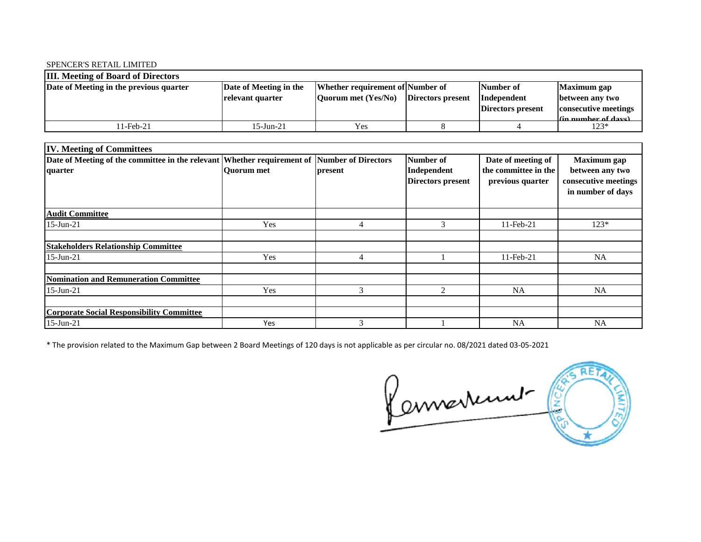### SPENCER'S RETAIL LIMITED

| <b>III.</b> Meeting of Board of Directors |                        |                                           |                   |                   |                      |  |  |  |
|-------------------------------------------|------------------------|-------------------------------------------|-------------------|-------------------|----------------------|--|--|--|
| Date of Meeting in the previous quarter   | Date of Meeting in the | Whether requirement of Number of          |                   | Number of         | <b>Maximum</b> gap   |  |  |  |
|                                           | relevant quarter       | $\sqrt{\text{Quorum met}(\text{Yes/No})}$ | Directors present | Independent       | between any two      |  |  |  |
|                                           |                        |                                           |                   | Directors present | consecutive meetings |  |  |  |
|                                           |                        |                                           |                   |                   | (in number of dave)  |  |  |  |
| 11-Feb-21                                 | 15-Jun-21              | Yes                                       |                   |                   | 123*                 |  |  |  |

| <b>IV. Meeting of Committees</b>                                                            |                   |         |                                  |                                          |                                                              |
|---------------------------------------------------------------------------------------------|-------------------|---------|----------------------------------|------------------------------------------|--------------------------------------------------------------|
| Date of Meeting of the committee in the relevant Whether requirement of Number of Directors |                   |         | <b>Number of</b>                 | Date of meeting of                       | <b>Maximum</b> gap                                           |
| quarter                                                                                     | <b>Quorum</b> met | present | Independent<br>Directors present | the committee in the<br>previous quarter | between any two<br>consecutive meetings<br>in number of days |
| <b>Audit Committee</b>                                                                      |                   |         |                                  |                                          |                                                              |
| 15-Jun-21                                                                                   | Yes               | 4       | 3                                | $11$ -Feb-21                             | $123*$                                                       |
|                                                                                             |                   |         |                                  |                                          |                                                              |
| <b>Stakeholders Relationship Committee</b>                                                  |                   |         |                                  |                                          |                                                              |
| 15-Jun-21                                                                                   | Yes               | 4       |                                  | 11-Feb-21                                | <b>NA</b>                                                    |
| <b>Nomination and Remuneration Committee</b>                                                |                   |         |                                  |                                          |                                                              |
| 15-Jun-21                                                                                   | Yes               | 3       | 2                                | <b>NA</b>                                | <b>NA</b>                                                    |
|                                                                                             |                   |         |                                  |                                          |                                                              |
| <b>Corporate Social Responsibility Committee</b>                                            |                   |         |                                  |                                          |                                                              |
| 15-Jun-21                                                                                   | Yes               | 3       |                                  | <b>NA</b>                                | NA                                                           |

\* The provision related to the Maximum Gap between 2 Board Meetings of 120 days is not applicable as per circular no. 08/2021 dated 03-05-2021

Connerment Comme